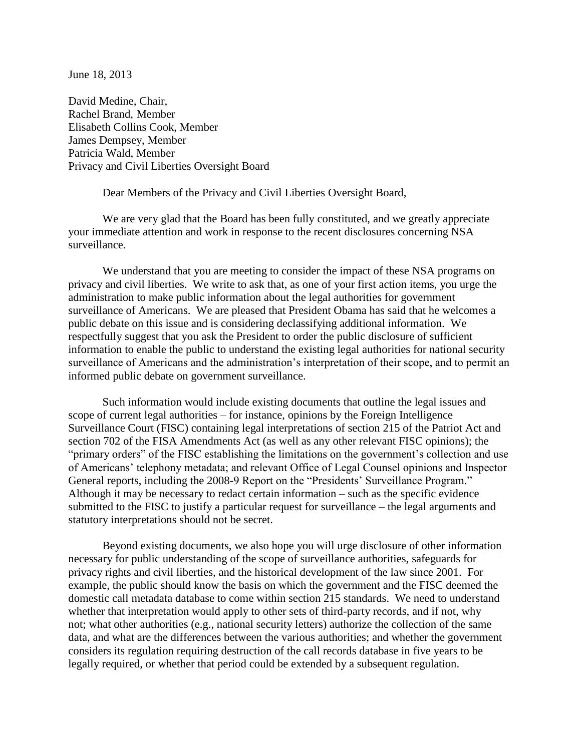June 18, 2013

David Medine, Chair, Rachel Brand, Member Elisabeth Collins Cook, Member James Dempsey, Member Patricia Wald, Member Privacy and Civil Liberties Oversight Board

Dear Members of the Privacy and Civil Liberties Oversight Board,

We are very glad that the Board has been fully constituted, and we greatly appreciate your immediate attention and work in response to the recent disclosures concerning NSA surveillance.

We understand that you are meeting to consider the impact of these NSA programs on privacy and civil liberties. We write to ask that, as one of your first action items, you urge the administration to make public information about the legal authorities for government surveillance of Americans. We are pleased that President Obama has said that he welcomes a public debate on this issue and is considering declassifying additional information. We respectfully suggest that you ask the President to order the public disclosure of sufficient information to enable the public to understand the existing legal authorities for national security surveillance of Americans and the administration's interpretation of their scope, and to permit an informed public debate on government surveillance.

Such information would include existing documents that outline the legal issues and scope of current legal authorities – for instance, opinions by the Foreign Intelligence Surveillance Court (FISC) containing legal interpretations of section 215 of the Patriot Act and section 702 of the FISA Amendments Act (as well as any other relevant FISC opinions); the "primary orders" of the FISC establishing the limitations on the government's collection and use of Americans' telephony metadata; and relevant Office of Legal Counsel opinions and Inspector General reports, including the 2008-9 Report on the "Presidents' Surveillance Program." Although it may be necessary to redact certain information – such as the specific evidence submitted to the FISC to justify a particular request for surveillance – the legal arguments and statutory interpretations should not be secret.

Beyond existing documents, we also hope you will urge disclosure of other information necessary for public understanding of the scope of surveillance authorities, safeguards for privacy rights and civil liberties, and the historical development of the law since 2001. For example, the public should know the basis on which the government and the FISC deemed the domestic call metadata database to come within section 215 standards. We need to understand whether that interpretation would apply to other sets of third-party records, and if not, why not; what other authorities (e.g., national security letters) authorize the collection of the same data, and what are the differences between the various authorities; and whether the government considers its regulation requiring destruction of the call records database in five years to be legally required, or whether that period could be extended by a subsequent regulation.